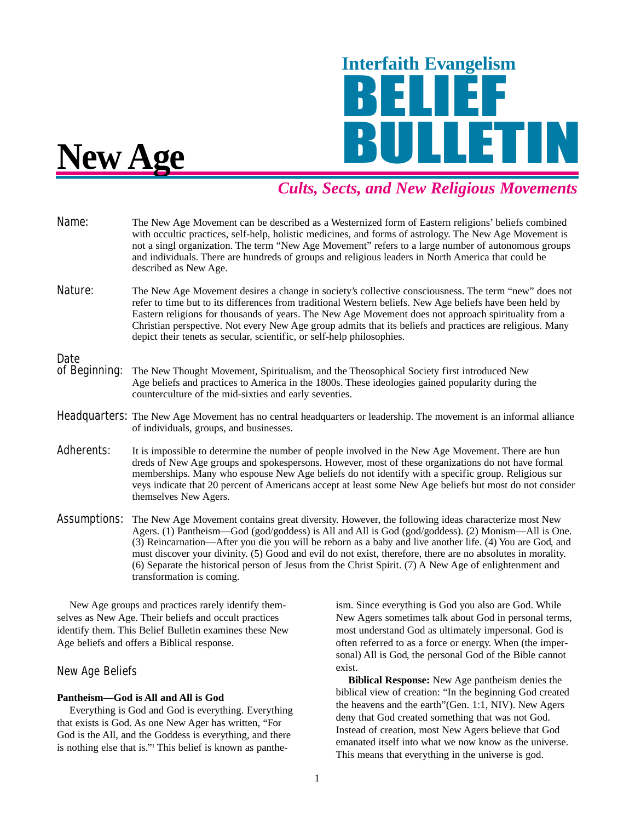

# *Cults, Sects, and New Religious Movements*

- Name: The New Age Movement can be described as a Westernized form of Eastern religions' beliefs combined with occultic practices, self-help, holistic medicines, and forms of astrology. The New Age Movement is not a singl organization. The term "New Age Movement" refers to a large number of autonomous groups and individuals. There are hundreds of groups and religious leaders in North America that could be described as New Age.
- Nature: The New Age Movement desires a change in society's collective consciousness. The term "new" does not refer to time but to its differences from traditional Western beliefs. New Age beliefs have been held by Eastern religions for thousands of years. The New Age Movement does not approach spirituality from a Christian perspective. Not every New Age group admits that its beliefs and practices are religious. Many depict their tenets as secular, scientific, or self-help philosophies.

- Date<br>of Beginning: The New Thought Movement, Spiritualism, and the Theosophical Society first introduced New Age beliefs and practices to America in the 1800s. These ideologies gained popularity during the counterculture of the mid-sixties and early seventies.
- **Headquarters:** The New Age Movement has no central headquarters or leadership. The movement is an informal alliance of individuals, groups, and businesses.
- Adherents: It is impossible to determine the number of people involved in the New Age Movement. There are hun dreds of New Age groups and spokespersons. However, most of these organizations do not have formal memberships. Many who espouse New Age beliefs do not identify with a specific group. Religious sur veys indicate that 20 percent of Americans accept at least some New Age beliefs but most do not consider themselves New Agers.
- **Assumptions:** The New Age Movement contains great diversity. However, the following ideas characterize most New Agers. (1) Pantheism—God (god/goddess) is All and All is God (god/goddess). (2) Monism—All is One. (3) Reincarnation—After you die you will be reborn as a baby and live another life. (4) You are God, and must discover your divinity. (5) Good and evil do not exist, therefore, there are no absolutes in morality. (6) Separate the historical person of Jesus from the Christ Spirit. (7) A New Age of enlightenment and transformation is coming.

New Age groups and practices rarely identify themselves as New Age. Their beliefs and occult practices identify them. This Belief Bulletin examines these New Age beliefs and offers a Biblical response.

# New Age Beliefs

# **Pantheism—God is All and All is God**

Everything is God and God is everything. Everything that exists is God. As one New Ager has written, "For God is the All, and the Goddess is everything, and there is nothing else that is."<sup>1</sup> This belief is known as pantheism. Since everything is God you also are God. While New Agers sometimes talk about God in personal terms, most understand God as ultimately impersonal. God is often referred to as a force or energy. When (the impersonal) All is God, the personal God of the Bible cannot exist.

**Biblical Response:** New Age pantheism denies the biblical view of creation: "In the beginning God created the heavens and the earth"(Gen. 1:1, NIV). New Agers deny that God created something that was not God. Instead of creation, most New Agers believe that God emanated itself into what we now know as the universe. This means that everything in the universe is god.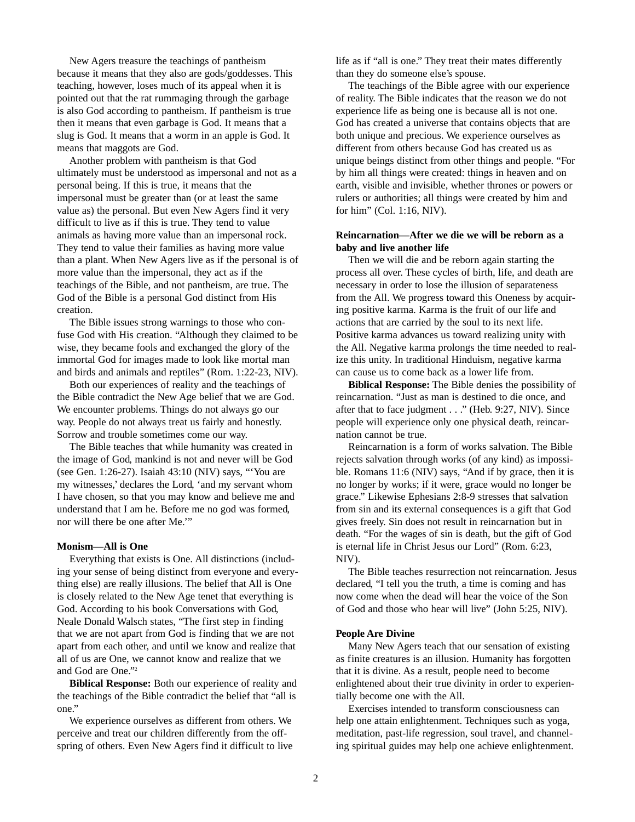New Agers treasure the teachings of pantheism because it means that they also are gods/goddesses. This teaching, however, loses much of its appeal when it is pointed out that the rat rummaging through the garbage is also God according to pantheism. If pantheism is true then it means that even garbage is God. It means that a slug is God. It means that a worm in an apple is God. It means that maggots are God.

Another problem with pantheism is that God ultimately must be understood as impersonal and not as a personal being. If this is true, it means that the impersonal must be greater than (or at least the same value as) the personal. But even New Agers find it very difficult to live as if this is true. They tend to value animals as having more value than an impersonal rock. They tend to value their families as having more value than a plant. When New Agers live as if the personal is of more value than the impersonal, they act as if the teachings of the Bible, and not pantheism, are true. The God of the Bible is a personal God distinct from His creation.

The Bible issues strong warnings to those who confuse God with His creation. "Although they claimed to be wise, they became fools and exchanged the glory of the immortal God for images made to look like mortal man and birds and animals and reptiles" (Rom. 1:22-23, NIV).

Both our experiences of reality and the teachings of the Bible contradict the New Age belief that we are God. We encounter problems. Things do not always go our way. People do not always treat us fairly and honestly. Sorrow and trouble sometimes come our way.

The Bible teaches that while humanity was created in the image of God, mankind is not and never will be God (see Gen. 1:26-27). Isaiah 43:10 (NIV) says, "'You are my witnesses,' declares the Lord, 'and my servant whom I have chosen, so that you may know and believe me and understand that I am he. Before me no god was formed, nor will there be one after Me.'"

#### **Monism—All is One**

Everything that exists is One. All distinctions (including your sense of being distinct from everyone and everything else) are really illusions. The belief that All is One is closely related to the New Age tenet that everything is God. According to his book Conversations with God, Neale Donald Walsch states, "The first step in finding that we are not apart from God is finding that we are not apart from each other, and until we know and realize that all of us are One, we cannot know and realize that we and God are One."2

**Biblical Response:** Both our experience of reality and the teachings of the Bible contradict the belief that "all is one."

We experience ourselves as different from others. We perceive and treat our children differently from the offspring of others. Even New Agers find it difficult to live life as if "all is one." They treat their mates differently than they do someone else's spouse.

The teachings of the Bible agree with our experience of reality. The Bible indicates that the reason we do not experience life as being one is because all is not one. God has created a universe that contains objects that are both unique and precious. We experience ourselves as different from others because God has created us as unique beings distinct from other things and people. "For by him all things were created: things in heaven and on earth, visible and invisible, whether thrones or powers or rulers or authorities; all things were created by him and for him" (Col. 1:16, NIV).

# **Reincarnation—After we die we will be reborn as a baby and live another life**

Then we will die and be reborn again starting the process all over. These cycles of birth, life, and death are necessary in order to lose the illusion of separateness from the All. We progress toward this Oneness by acquiring positive karma. Karma is the fruit of our life and actions that are carried by the soul to its next life. Positive karma advances us toward realizing unity with the All. Negative karma prolongs the time needed to realize this unity. In traditional Hinduism, negative karma can cause us to come back as a lower life from.

**Biblical Response:** The Bible denies the possibility of reincarnation. "Just as man is destined to die once, and after that to face judgment . . ." (Heb. 9:27, NIV). Since people will experience only one physical death, reincarnation cannot be true.

Reincarnation is a form of works salvation. The Bible rejects salvation through works (of any kind) as impossible. Romans 11:6 (NIV) says, "And if by grace, then it is no longer by works; if it were, grace would no longer be grace." Likewise Ephesians 2:8-9 stresses that salvation from sin and its external consequences is a gift that God gives freely. Sin does not result in reincarnation but in death. "For the wages of sin is death, but the gift of God is eternal life in Christ Jesus our Lord" (Rom. 6:23, NIV).

The Bible teaches resurrection not reincarnation. Jesus declared, "I tell you the truth, a time is coming and has now come when the dead will hear the voice of the Son of God and those who hear will live" (John 5:25, NIV).

#### **People Are Divine**

Many New Agers teach that our sensation of existing as finite creatures is an illusion. Humanity has forgotten that it is divine. As a result, people need to become enlightened about their true divinity in order to experientially become one with the All.

Exercises intended to transform consciousness can help one attain enlightenment. Techniques such as yoga, meditation, past-life regression, soul travel, and channeling spiritual guides may help one achieve enlightenment.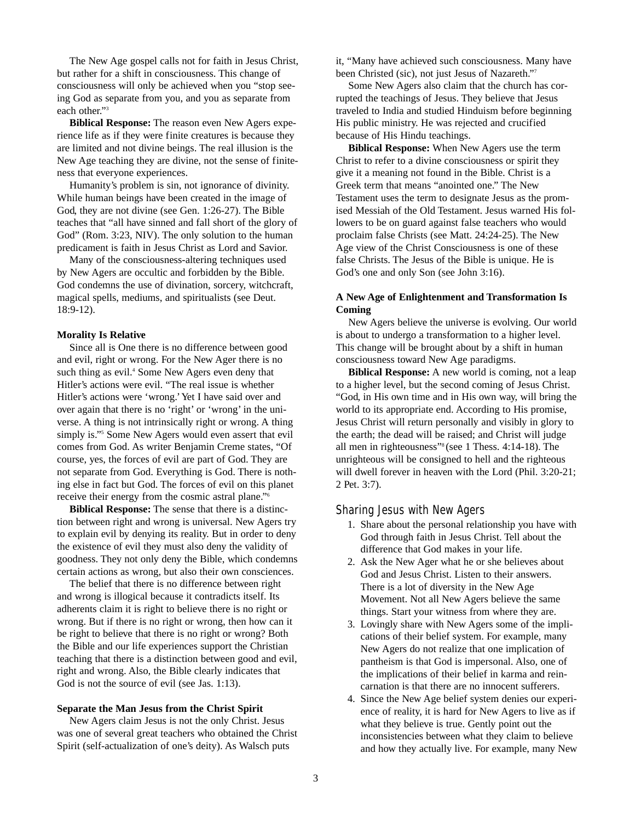The New Age gospel calls not for faith in Jesus Christ, but rather for a shift in consciousness. This change of consciousness will only be achieved when you "stop seeing God as separate from you, and you as separate from each other."3

**Biblical Response:** The reason even New Agers experience life as if they were finite creatures is because they are limited and not divine beings. The real illusion is the New Age teaching they are divine, not the sense of finiteness that everyone experiences.

Humanity's problem is sin, not ignorance of divinity. While human beings have been created in the image of God, they are not divine (see Gen. 1:26-27). The Bible teaches that "all have sinned and fall short of the glory of God" (Rom. 3:23, NIV). The only solution to the human predicament is faith in Jesus Christ as Lord and Savior.

Many of the consciousness-altering techniques used by New Agers are occultic and forbidden by the Bible. God condemns the use of divination, sorcery, witchcraft, magical spells, mediums, and spiritualists (see Deut. 18:9-12).

### **Morality Is Relative**

Since all is One there is no difference between good and evil, right or wrong. For the New Ager there is no such thing as evil.<sup>4</sup> Some New Agers even deny that Hitler's actions were evil. "The real issue is whether Hitler's actions were 'wrong.'Yet I have said over and over again that there is no 'right' or 'wrong' in the universe. A thing is not intrinsically right or wrong. A thing simply is."<sup>5</sup> Some New Agers would even assert that evil comes from God. As writer Benjamin Creme states, "Of course, yes, the forces of evil are part of God. They are not separate from God. Everything is God. There is nothing else in fact but God. The forces of evil on this planet receive their energy from the cosmic astral plane."6

**Biblical Response:** The sense that there is a distinction between right and wrong is universal. New Agers try to explain evil by denying its reality. But in order to deny the existence of evil they must also deny the validity of goodness. They not only deny the Bible, which condemns certain actions as wrong, but also their own consciences.

The belief that there is no difference between right and wrong is illogical because it contradicts itself. Its adherents claim it is right to believe there is no right or wrong. But if there is no right or wrong, then how can it be right to believe that there is no right or wrong? Both the Bible and our life experiences support the Christian teaching that there is a distinction between good and evil, right and wrong. Also, the Bible clearly indicates that God is not the source of evil (see Jas. 1:13).

#### **Separate the Man Jesus from the Christ Spirit**

New Agers claim Jesus is not the only Christ. Jesus was one of several great teachers who obtained the Christ Spirit (self-actualization of one's deity). As Walsch puts

it, "Many have achieved such consciousness. Many have been Christed (sic), not just Jesus of Nazareth."7

Some New Agers also claim that the church has corrupted the teachings of Jesus. They believe that Jesus traveled to India and studied Hinduism before beginning His public ministry. He was rejected and crucified because of His Hindu teachings.

**Biblical Response:** When New Agers use the term Christ to refer to a divine consciousness or spirit they give it a meaning not found in the Bible. Christ is a Greek term that means "anointed one." The New Testament uses the term to designate Jesus as the promised Messiah of the Old Testament. Jesus warned His followers to be on guard against false teachers who would proclaim false Christs (see Matt. 24:24-25). The New Age view of the Christ Consciousness is one of these false Christs. The Jesus of the Bible is unique. He is God's one and only Son (see John 3:16).

# **A New Age of Enlightenment and Transformation Is Coming**

New Agers believe the universe is evolving. Our world is about to undergo a transformation to a higher level. This change will be brought about by a shift in human consciousness toward New Age paradigms.

**Biblical Response:** A new world is coming, not a leap to a higher level, but the second coming of Jesus Christ. "God, in His own time and in His own way, will bring the world to its appropriate end. According to His promise, Jesus Christ will return personally and visibly in glory to the earth; the dead will be raised; and Christ will judge all men in righteousness"8 (see 1 Thess. 4:14-18). The unrighteous will be consigned to hell and the righteous will dwell forever in heaven with the Lord (Phil. 3:20-21; 2 Pet. 3:7).

## Sharing Jesus with New Agers

- 1. Share about the personal relationship you have with God through faith in Jesus Christ. Tell about the difference that God makes in your life.
- 2. Ask the New Ager what he or she believes about God and Jesus Christ. Listen to their answers. There is a lot of diversity in the New Age Movement. Not all New Agers believe the same things. Start your witness from where they are.
- 3. Lovingly share with New Agers some of the implications of their belief system. For example, many New Agers do not realize that one implication of pantheism is that God is impersonal. Also, one of the implications of their belief in karma and reincarnation is that there are no innocent sufferers.
- 4. Since the New Age belief system denies our experience of reality, it is hard for New Agers to live as if what they believe is true. Gently point out the inconsistencies between what they claim to believe and how they actually live. For example, many New